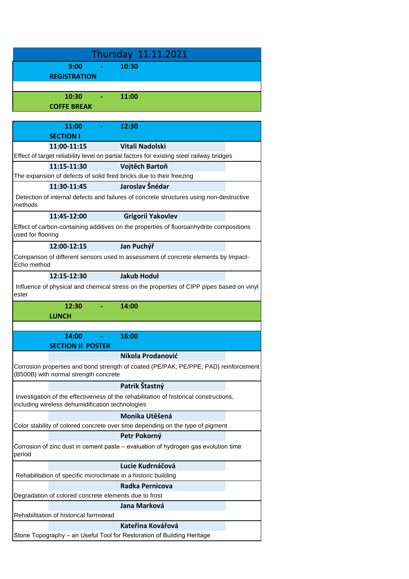| Thursday 11.11.2021                                                                                                                       |  |  |
|-------------------------------------------------------------------------------------------------------------------------------------------|--|--|
| 9:00<br>10:30                                                                                                                             |  |  |
| <b>REGISTRATION</b>                                                                                                                       |  |  |
|                                                                                                                                           |  |  |
| 10:30<br>11:00                                                                                                                            |  |  |
| <b>COFFE BREAK</b>                                                                                                                        |  |  |
|                                                                                                                                           |  |  |
| 11:00<br>12:30<br><b>Contract Contract</b><br><b>SECTION I</b>                                                                            |  |  |
| <b>Vitali Nadolski</b><br>11:00-11:15                                                                                                     |  |  |
| Effect of target reliability level on partial factors for existing steel railway bridges                                                  |  |  |
| 11:15-11:30<br>Vojtěch Bartoň                                                                                                             |  |  |
| The expansion of defects of solid fired bricks due to their freezing                                                                      |  |  |
| Jaroslav Šnédar<br>11:30-11:45                                                                                                            |  |  |
| Detection of internal defects and failures of concrete structures using non-destructive<br>methods                                        |  |  |
| 11:45-12:00<br>Grigorii Yakovlev                                                                                                          |  |  |
| Effect of carbon-containing additives on the properties of fluoroanhydrite compositions<br>used for flooring                              |  |  |
| Jan Puchýř<br>12:00-12:15                                                                                                                 |  |  |
| Comparison of different sensors used in assessment of concrete elements by Impact-<br>Echo method                                         |  |  |
| 12:15-12:30<br><b>Jakub Hodul</b>                                                                                                         |  |  |
| Influence of physical and chemical stress on the properties of CIPP pipes based on vinyl<br>ester                                         |  |  |
| 12:30<br>14:00                                                                                                                            |  |  |
| <b>LUNCH</b>                                                                                                                              |  |  |
|                                                                                                                                           |  |  |
| 16:00<br>14:00                                                                                                                            |  |  |
| <b>SECTION II POSTER</b>                                                                                                                  |  |  |
| Nikola Prodanović                                                                                                                         |  |  |
| Corrosion properties and bond strength of coated (PE/PAK; PE/PPE; PAD) reinforcement<br>(B500B) with normal strength concrete             |  |  |
| Patrik Štastný                                                                                                                            |  |  |
| Investigation of the effectiveness of the rehabilitation of historical constructions,<br>including wireless dehumidification technologies |  |  |
| Monika Utěšená                                                                                                                            |  |  |
| Color stability of colored concrete over time depending on the type of pigment                                                            |  |  |
| Petr Pokorný                                                                                                                              |  |  |
| Corrosion of zinc dust in cement paste – evaluation of hydrogen gas evolution time<br>period                                              |  |  |
| Lucie Kudrnáčová                                                                                                                          |  |  |
| Rehabilitation of specific microclimate in a historic building                                                                            |  |  |
| Radka Pernicova                                                                                                                           |  |  |
| Degradation of colored concrete elements due to frost                                                                                     |  |  |
| Jana Marková<br>Rehabilitation of historical farmstead                                                                                    |  |  |
| Kateřina Kovářová                                                                                                                         |  |  |
| Stone Topography - an Useful Tool for Restoration of Building Heritage                                                                    |  |  |
|                                                                                                                                           |  |  |